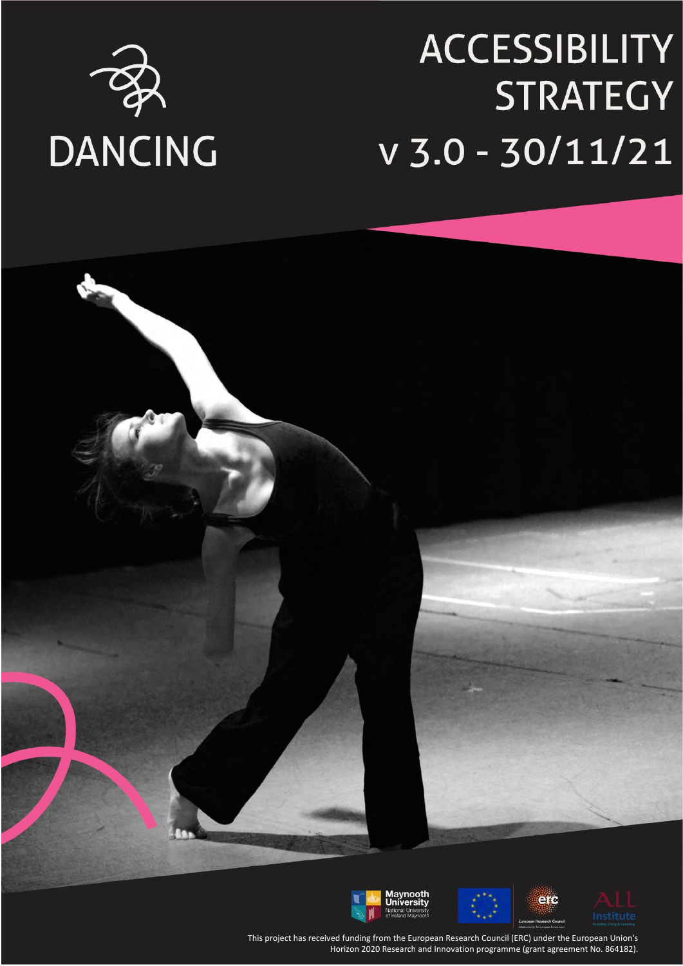

# **ACCESSIBILITY STRATEGY**  $V$  3.0 - 30/11/21



This project has received funding from the European Research Council (ERC) under the European Union's This project has received funding from the European Research Council (ERC) under the European Union's Horizon 2020 Research and Innovation programme (grant agreement No. 864182). Horizon 2020 Research and Innovation programme (grant agreement No. 864182).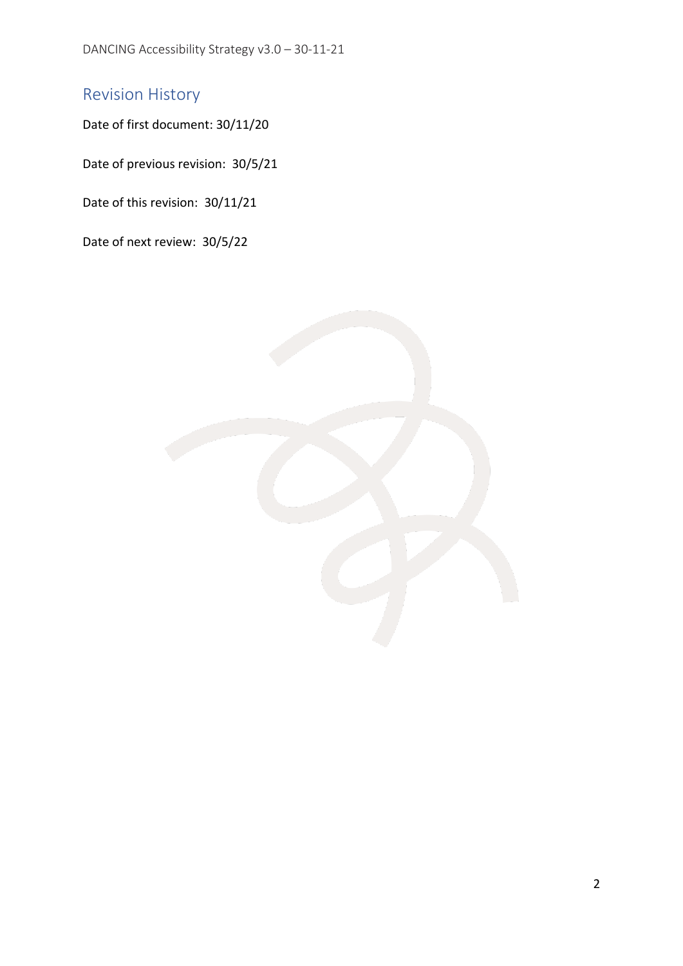DANCING Accessibility Strategy v3.0 – 30-11-21

## <span id="page-1-0"></span>Revision History

Date of first document: 30/11/20

Date of previous revision: 30/5/21

Date of this revision: 30/11/21

Date of next review: 30/5/22

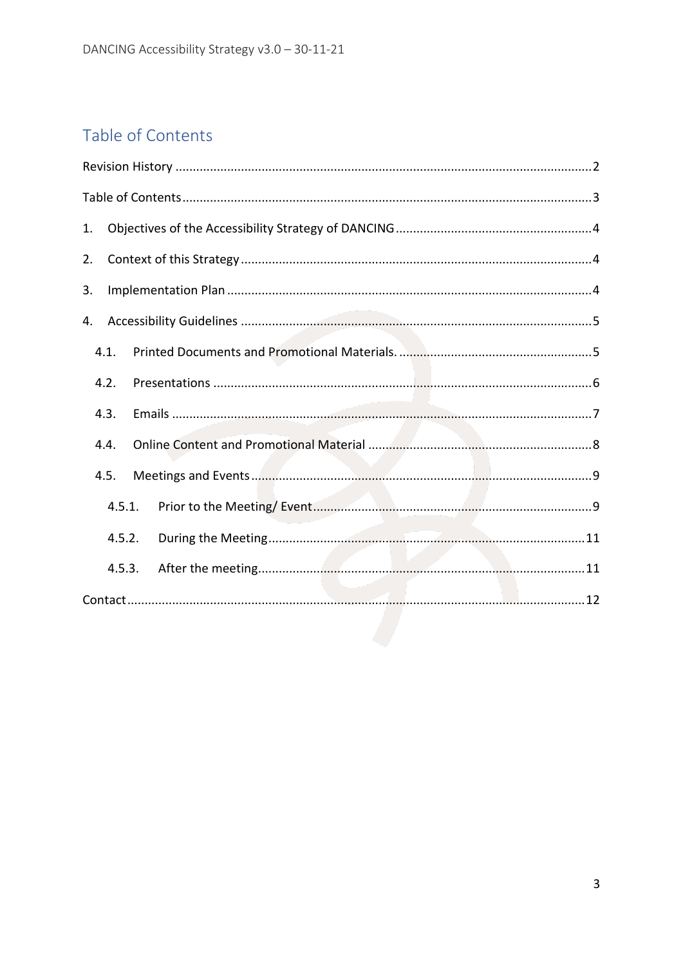# <span id="page-2-0"></span>Table of Contents

| 1.     |  |
|--------|--|
| 2.     |  |
| 3.     |  |
| 4.     |  |
| 4.1.   |  |
| 4.2.   |  |
| 4.3.   |  |
| 4.4.   |  |
| 4.5.   |  |
| 4.5.1. |  |
| 4.5.2. |  |
| 4.5.3. |  |
|        |  |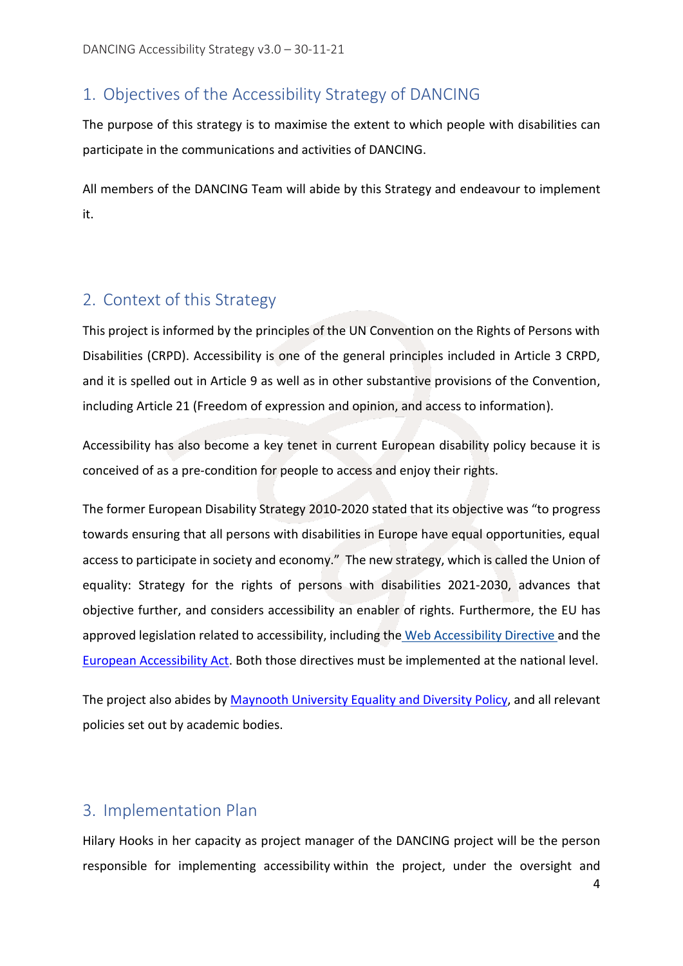## <span id="page-3-0"></span>1. Objectives of the Accessibility Strategy of DANCING

The purpose of this strategy is to maximise the extent to which people with disabilities can participate in the communications and activities of DANCING.

All members of the DANCING Team will abide by this Strategy and endeavour to implement it.

## <span id="page-3-1"></span>2. Context of this Strategy

This project is informed by the principles of the UN Convention on the Rights of Persons with Disabilities (CRPD). Accessibility is one of the general principles included in Article 3 CRPD, and it is spelled out in Article 9 as well as in other substantive provisions of the Convention, including Article 21 (Freedom of expression and opinion, and access to information).

Accessibility has also become a key tenet in current European disability policy because it is conceived of as a pre-condition for people to access and enjoy their rights.

The former European Disability Strategy 2010-2020 stated that its objective was "to progress towards ensuring that all persons with disabilities in Europe have equal opportunities, equal access to participate in society and economy." The new strategy, which is called the Union of equality: Strategy for the rights of persons with disabilities 2021-2030, advances that objective further, and considers accessibility an enabler of rights. Furthermore, the EU has approved legislation related to accessibility, including the [Web Accessibility Directive](http://nda.ie/Publications/Communications/EU-Web-Accessibility-Directive/) and the [European Accessibility Act.](https://eur-lex.europa.eu/legal-content/EN/TXT/?uri=CELEX%3A32019L0882) Both those directives must be implemented at the national level.

The project also abides by [Maynooth University Equality and Diversity](https://www.maynoothuniversity.ie/sites/default/files/assets/document/Equality%20and%20Diversity%20Policy%20-%202018%20FINAL_1.pdf) Policy, and all relevant policies set out by academic bodies.

## <span id="page-3-2"></span>3. Implementation Plan

Hilary Hooks in her capacity as project manager of the DANCING project will be the person responsible for implementing accessibility within the project, under the oversight and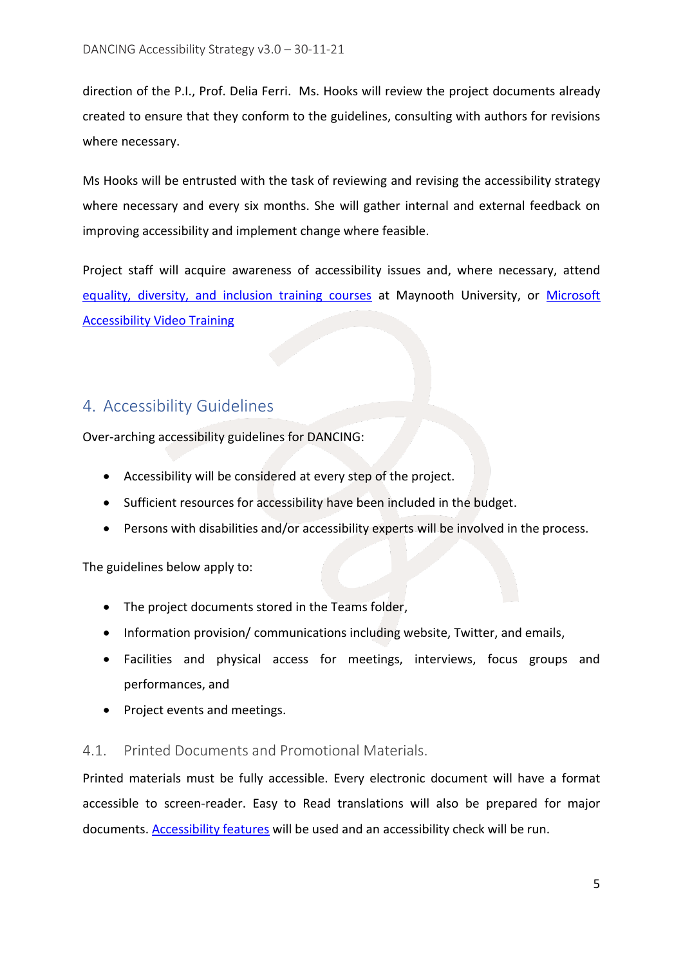direction of the P.I., Prof. Delia Ferri. Ms. Hooks will review the project documents already created to ensure that they conform to the guidelines, consulting with authors for revisions where necessary.

Ms Hooks will be entrusted with the task of reviewing and revising the accessibility strategy where necessary and every six months. She will gather internal and external feedback on improving accessibility and implement change where feasible.

Project staff will acquire awareness of accessibility issues and, where necessary, attend equality, diversity, [and inclusion training courses](https://www.maynoothuniversity.ie/human-resources/learning-and-development/employee-training-courses?title=&tid=9272) at Maynooth University, or Microsoft [Accessibility Video Training](https://support.microsoft.com/en-us/office/video-create-accessible-links-in-word-28305cc8-3be2-417c-a313-dc22082d1ee0)

## <span id="page-4-0"></span>4. Accessibility Guidelines

Over-arching accessibility guidelines for DANCING:

- Accessibility will be considered at every step of the project.
- Sufficient resources for accessibility have been included in the budget.
- Persons with disabilities and/or accessibility experts will be involved in the process.

The guidelines below apply to:

- The project documents stored in the Teams folder,
- Information provision/ communications including website, Twitter, and emails,
- Facilities and physical access for meetings, interviews, focus groups and performances, and
- Project events and meetings.

#### <span id="page-4-1"></span>4.1. Printed Documents and Promotional Materials.

Printed materials must be fully accessible. Every electronic document will have a format accessible to screen-reader. Easy to Read translations will also be prepared for major documents. [Accessibility features](https://www.gov.ie/en/publication/e89039-how-to-make-accessible-documents/#turn-on-accessibility-features) will be used and an accessibility check will be run.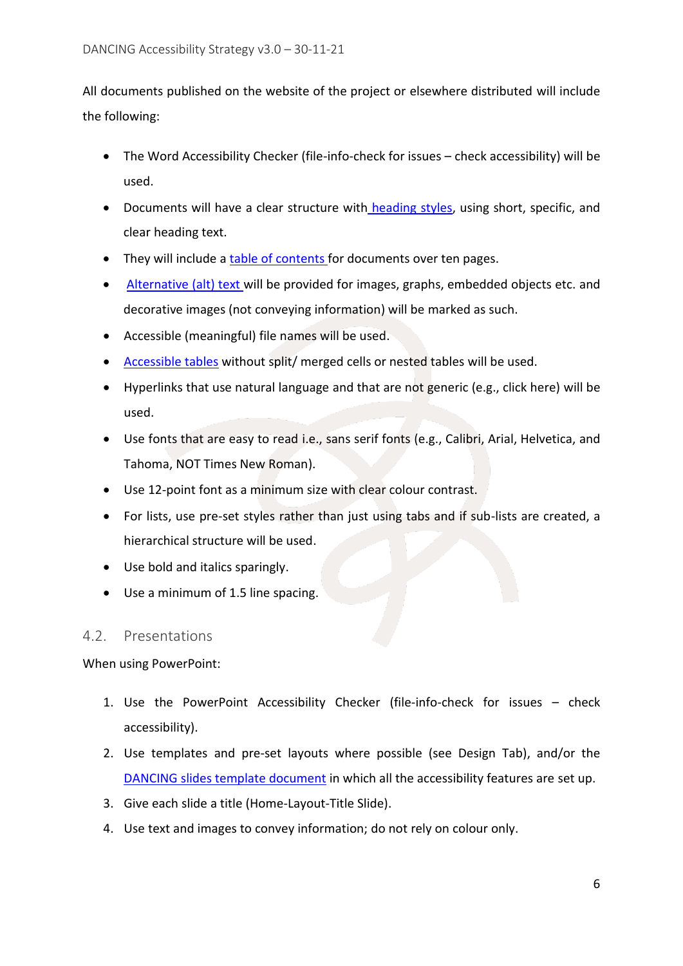All documents published on the website of the project or elsewhere distributed will include the following:

- The Word Accessibility Checker (file-info-check for issues check accessibility) will be used.
- [Documents will have a clear structure with](https://www.gov.ie/en/publication/e89039-how-to-make-accessible-documents/#give-documents-a-structure-using-heading-styles) heading styles, using short, specific, and clear heading text.
- [They will include a](https://www.gov.ie/en/publication/e89039-how-to-make-accessible-documents/#provide-a-table-of-contents-for-longer-documents) table of contents for documents over ten pages.
- [Alternative \(alt\) text](https://www.gov.ie/en/publication/e89039-how-to-make-accessible-documents/#provide-alternative-alt-text) will be provided for images, graphs, embedded objects etc. and decorative images (not conveying information) will be marked as such.
- Accessible (meaningful) file names will be used.
- [Accessible tables](https://support.microsoft.com/en-us/office/video-create-accessible-tables-in-word-cb464015-59dc-46a0-ac01-6217c62210e5) without split/ merged cells or nested tables will be used.
- Hyperlinks that use natural language and that are not generic (e.g., click here) will be used.
- Use fonts that are easy to read i.e., sans serif fonts (e.g., Calibri, Arial, Helvetica, and Tahoma, NOT Times New Roman).
- Use 12-point font as a minimum size with clear colour contrast.
- For lists, use pre-set styles rather than just using tabs and if sub-lists are created, a hierarchical structure will be used.
- Use bold and italics sparingly.
- Use a minimum of 1.5 line spacing.

#### <span id="page-5-0"></span>4.2. Presentations

When using PowerPoint:

- 1. Use the PowerPoint Accessibility Checker (file-info-check for issues check accessibility).
- 2. Use templates and pre-set layouts where possible (see Design Tab), and/or the [DANCING slides template document](https://teams.microsoft.com/l/file/EA402343-523A-49BA-B567-297304F2C2F8?tenantId=1454f5cc-bb35-4685-bbd9-8621fd8055c9&fileType=pptx&objectUrl=https%3A%2F%2Fmaynoothuniversity.sharepoint.com%2Fsites%2FDANCING%2FShared%20Documents%2FGeneral%2FCommunications%2FProject%20Stationery%2FPowerPoint%20Template%2FDANCING%20PowerPoint%20template%2015-4-21.pptx&baseUrl=https%3A%2F%2Fmaynoothuniversity.sharepoint.com%2Fsites%2FDANCING&serviceName=teams&threadId=19:df47ed4f110c45da97eca8a4699da1a9@thread.tacv2&groupId=6138d954-cb47-4758-8b53-81d5059bbfe7) in which all the accessibility features are set up.
- 3. Give each slide a title (Home-Layout-Title Slide).
- 4. Use text and images to convey information; do not rely on colour only.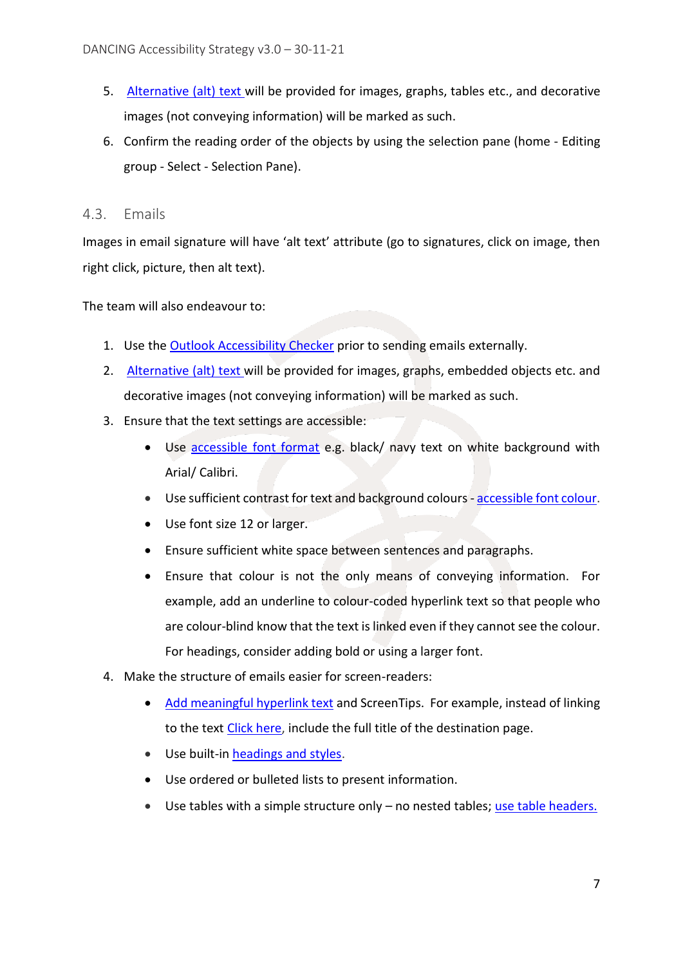- 5. [Alternative \(alt\) text](https://www.gov.ie/en/publication/e89039-how-to-make-accessible-documents/#provide-alternative-alt-text) will be provided for images, graphs, tables etc., and decorative images (not conveying information) will be marked as such.
- 6. Confirm the reading order of the objects by using the selection pane (home Editing group - Select - Selection Pane).

#### <span id="page-6-0"></span>4.3. Emails

Images in email signature will have 'alt text' attribute (go to signatures, click on image, then right click, picture, then alt text).

The team will also endeavour to:

- 1. Use the **Outlook Accessibility Checker** prior to sending emails externally.
- 2. [Alternative \(alt\) text](https://www.gov.ie/en/publication/e89039-how-to-make-accessible-documents/#provide-alternative-alt-text) will be provided for images, graphs, embedded objects etc. and decorative images (not conveying information) will be marked as such.
- 3. Ensure that the text settings are accessible:
	- Use [accessible font format](https://support.office.com/en-us/f1/topic/71ce71f4-7b15-4b7a-a2e3-cf91721bbacb?showContactUsNav=False&ns=OUTLOOK&version=90#bkmk_winaccessiblefonts) e.g. black/ navy text on white background with Arial/ Calibri.
	- Use sufficient contrast for text and background colours [accessible font colour.](https://support.office.com/en-us/f1/topic/71ce71f4-7b15-4b7a-a2e3-cf91721bbacb?showContactUsNav=False&ns=OUTLOOK&version=90#bkmk_winfontcolor)
	- Use font size 12 or larger.
	- Ensure sufficient white space between sentences and paragraphs.
	- Ensure that colour is not the only means of conveying information. For example, add an underline to colour-coded hyperlink text so that people who are colour-blind know that the text is linked even if they cannot see the colour. For headings, consider adding bold or using a larger font.
- 4. Make the structure of emails easier for screen-readers:
	- [Add meaningful hyperlink text](https://support.office.com/en-us/f1/topic/71ce71f4-7b15-4b7a-a2e3-cf91721bbacb?showContactUsNav=False&ns=OUTLOOK&version=90#bkmk_winlinkscreentips) and ScreenTips. For example, instead of linking to the text Click here, include the full title of the destination page.
	- Use built-i[n headings and styles.](https://support.microsoft.com/en-gb/office/add-a-heading-3eb8b917-56dc-4a17-891a-a026b2c790f2)
	- Use ordered or bulleted lists to present information.
	- Use tables with a simple structure only no nested tables; [use table headers.](https://support.office.com/en-us/f1/topic/71ce71f4-7b15-4b7a-a2e3-cf91721bbacb?showContactUsNav=False&ns=OUTLOOK&version=90#bkmk_wintableheaders)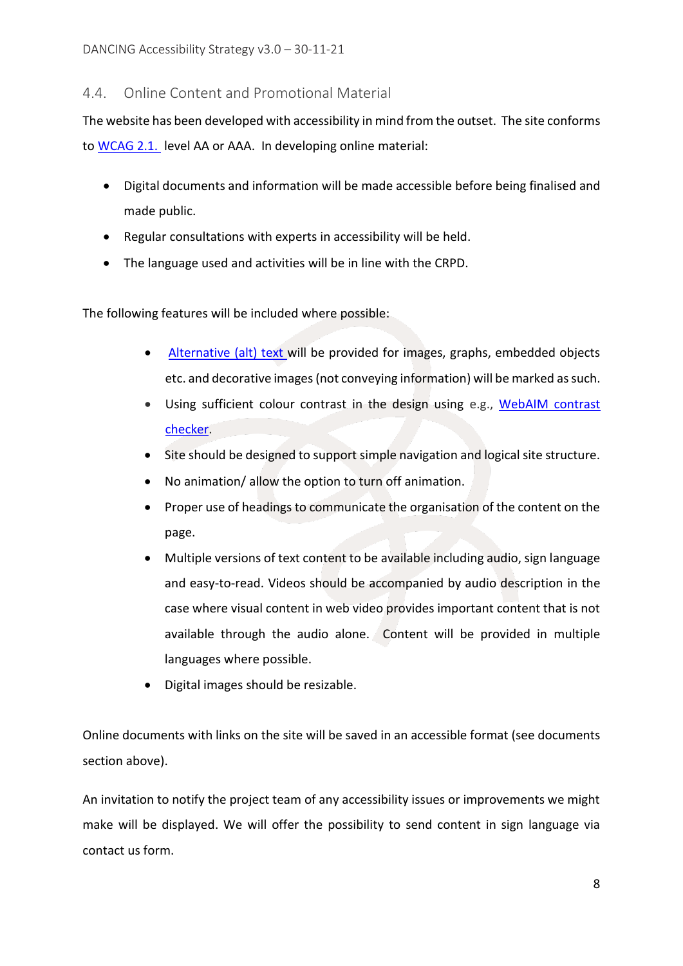#### <span id="page-7-0"></span>4.4. Online Content and Promotional Material

The website has been developed with accessibility in mind from the outset. The site conforms to [WCAG 2.1.](https://www.w3.org/WAI/WCAG21/quickref/) level AA or AAA. In developing online material:

- Digital documents and information will be made accessible before being finalised and made public.
- Regular consultations with experts in accessibility will be held.
- The language used and activities will be in line with the CRPD.

The following features will be included where possible:

- [Alternative \(alt\) text](https://www.gov.ie/en/publication/e89039-how-to-make-accessible-documents/#provide-alternative-alt-text) will be provided for images, graphs, embedded objects etc. and decorative images (not conveying information) will be marked as such.
- Using sufficient colour contrast in the design using e.g., [WebAIM](https://webaim.org/resources/contrastchecker/) contrast [checker.](https://webaim.org/resources/contrastchecker/)
- Site should be designed to support simple navigation and logical site structure.
- No animation/ allow the option to turn off animation.
- Proper use of headings to communicate the organisation of the content on the page.
- Multiple versions of text content to be available including audio, sign language and easy-to-read. Videos should be accompanied by audio description in the case where visual content in web video provides important content that is not available through the audio alone. Content will be provided in multiple languages where possible.
- Digital images should be resizable.

Online documents with links on the site will be saved in an accessible format (see documents section above).

An invitation to notify the project team of any accessibility issues or improvements we might make will be displayed. We will offer the possibility to send content in sign language via contact us form.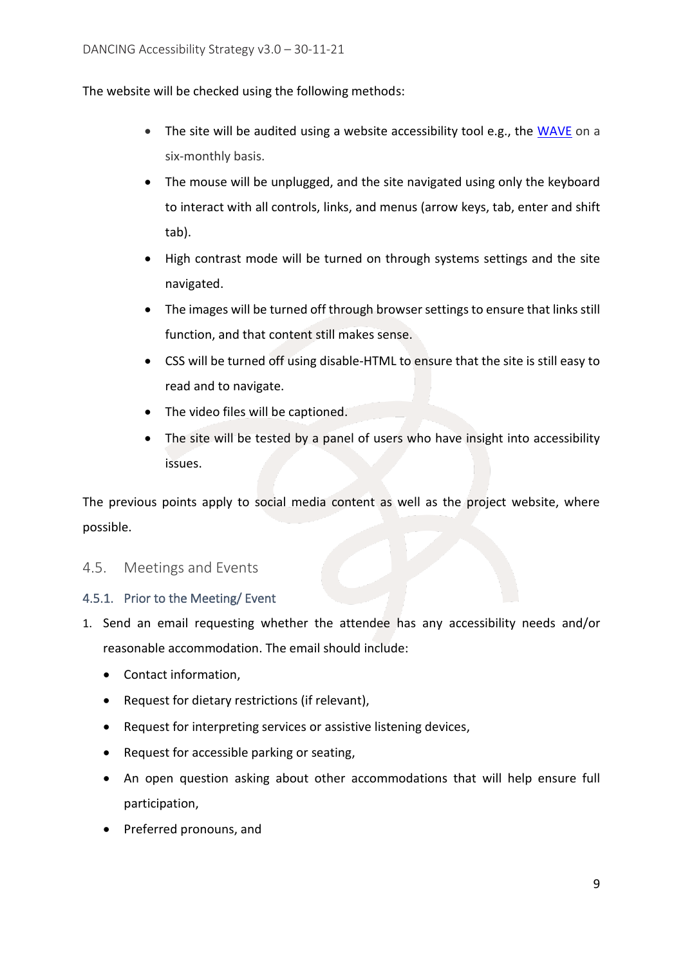The website will be checked using the following methods:

- The site will be audited using a website accessibility tool e.g., the [WAVE](http://wave.webaim.org/) on a six-monthly basis.
- The mouse will be unplugged, and the site navigated using only the keyboard to interact with all controls, links, and menus (arrow keys, tab, enter and shift tab).
- High contrast mode will be turned on through systems settings and the site navigated.
- The images will be turned off through browser settings to ensure that links still function, and that content still makes sense.
- CSS will be turned off using disable-HTML to ensure that the site is still easy to read and to navigate.
- The video files will be captioned.
- The site will be tested by a panel of users who have insight into accessibility issues.

The previous points apply to social media content as well as the project website, where possible.

#### <span id="page-8-0"></span>4.5. Meetings and Events

#### <span id="page-8-1"></span>4.5.1. Prior to the Meeting/ Event

- 1. Send an email requesting whether the attendee has any accessibility needs and/or reasonable accommodation. The email should include:
	- Contact information,
	- Request for dietary restrictions (if relevant),
	- Request for interpreting services or assistive listening devices,
	- Request for accessible parking or seating,
	- An open question asking about other accommodations that will help ensure full participation,
	- Preferred pronouns, and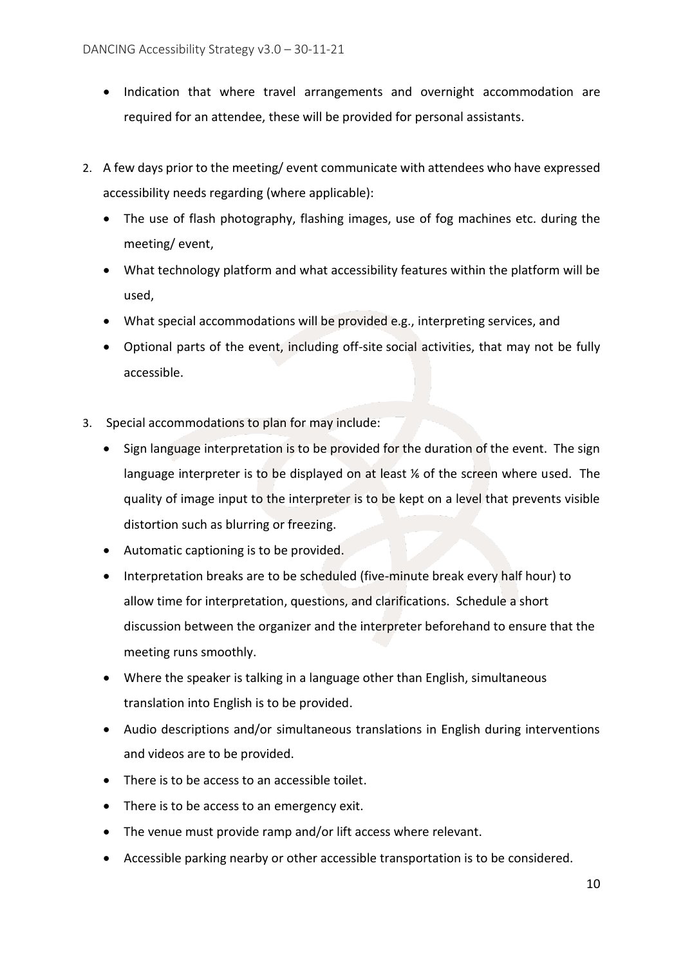- Indication that where travel arrangements and overnight accommodation are required for an attendee, these will be provided for personal assistants.
- 2. A few days prior to the meeting/ event communicate with attendees who have expressed accessibility needs regarding (where applicable):
	- The use of flash photography, flashing images, use of fog machines etc. during the meeting/ event,
	- What technology platform and what accessibility features within the platform will be used,
	- What special accommodations will be provided e.g., interpreting services, and
	- Optional parts of the event, including off-site social activities, that may not be fully accessible.
- 3. Special accommodations to plan for may include:
	- Sign language interpretation is to be provided for the duration of the event. The sign language interpreter is to be displayed on at least  $%$  of the screen where used. The quality of image input to the interpreter is to be kept on a level that prevents visible distortion such as blurring or freezing.
	- Automatic captioning is to be provided.
	- Interpretation breaks are to be scheduled (five-minute break every half hour) to allow time for interpretation, questions, and clarifications. Schedule a short discussion between the organizer and the interpreter beforehand to ensure that the meeting runs smoothly.
	- Where the speaker is talking in a language other than English, simultaneous translation into English is to be provided.
	- Audio descriptions and/or simultaneous translations in English during interventions and videos are to be provided.
	- There is to be access to an accessible toilet.
	- There is to be access to an emergency exit.
	- The venue must provide ramp and/or lift access where relevant.
	- Accessible parking nearby or other accessible transportation is to be considered.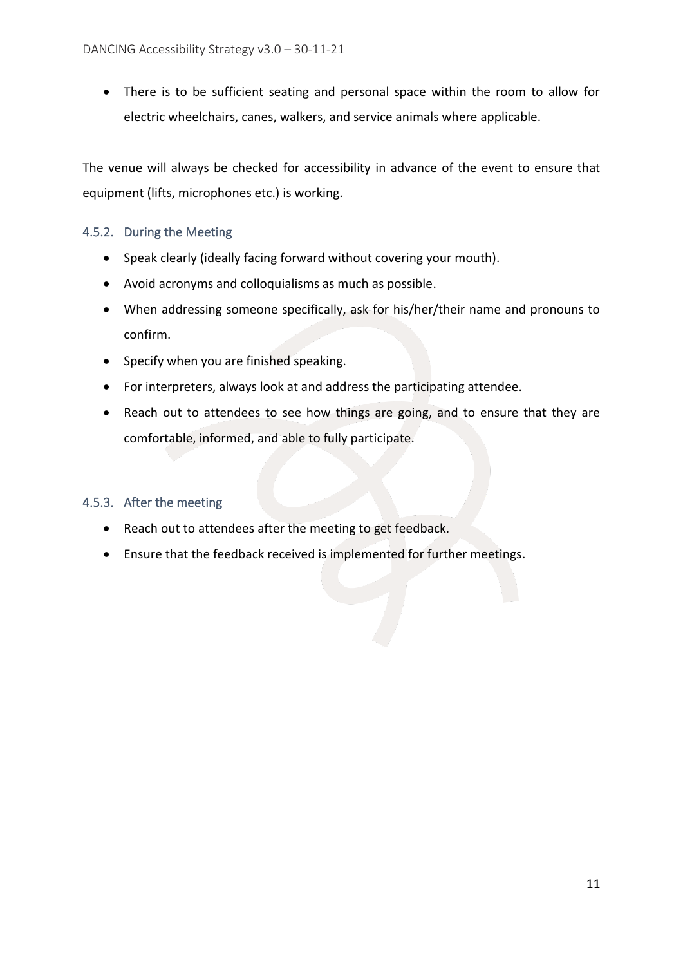• There is to be sufficient seating and personal space within the room to allow for electric wheelchairs, canes, walkers, and service animals where applicable.

The venue will always be checked for accessibility in advance of the event to ensure that equipment (lifts, microphones etc.) is working.

#### <span id="page-10-0"></span>4.5.2. During the Meeting

- Speak clearly (ideally facing forward without covering your mouth).
- Avoid acronyms and colloquialisms as much as possible.
- When addressing someone specifically, ask for his/her/their name and pronouns to confirm.
- Specify when you are finished speaking.
- For interpreters, always look at and address the participating attendee.
- Reach out to attendees to see how things are going, and to ensure that they are comfortable, informed, and able to fully participate.

#### <span id="page-10-1"></span>4.5.3. After the meeting

- Reach out to attendees after the meeting to get feedback.
- Ensure that the feedback received is implemented for further meetings.